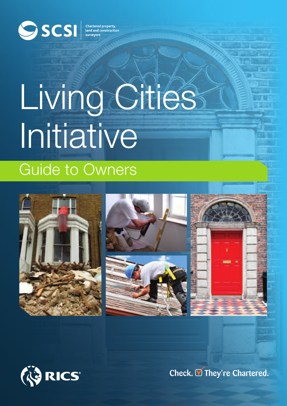

# Guide to Owners Living Cities Initiative









**Check. They're Chartered.**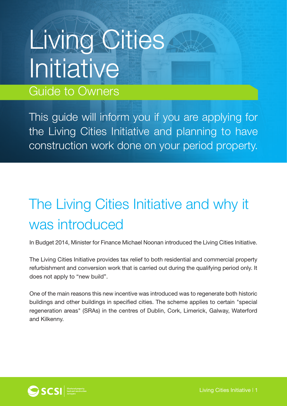## Living Cities **Initiative** Guide to Owners

This guide will inform you if you are applying for the Living Cities Initiative and planning to have construction work done on your period property.

## The Living Cities Initiative and why it was introduced

In Budget 2014, Minister for Finance Michael Noonan introduced the Living Cities Initiative.

The Living Cities Initiative provides tax relief to both residential and commercial property refurbishment and conversion work that is carried out during the qualifying period only. It does not apply to "new build".

One of the main reasons this new incentive was introduced was to regenerate both historic buildings and other buildings in specified cities. The scheme applies to certain "special regeneration areas" (SRAs) in the centres of Dublin, Cork, Limerick, Galway, Waterford and Kilkenny.

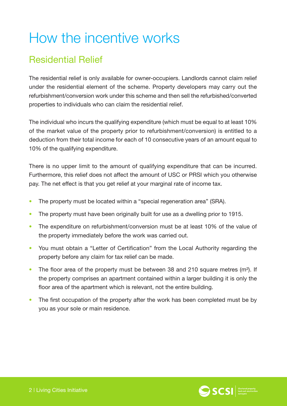## How the incentive works

#### Residential Relief

The residential relief is only available for owner-occupiers. Landlords cannot claim relief under the residential element of the scheme. Property developers may carry out the refurbishment/conversion work under this scheme and then sell the refurbished/converted properties to individuals who can claim the residential relief.

The individual who incurs the qualifying expenditure (which must be equal to at least 10% of the market value of the property prior to refurbishment/conversion) is entitled to a deduction from their total income for each of 10 consecutive years of an amount equal to 10% of the qualifying expenditure.

There is no upper limit to the amount of qualifying expenditure that can be incurred. Furthermore, this relief does not affect the amount of USC or PRSI which you otherwise pay. The net effect is that you get relief at your marginal rate of income tax.

- The property must be located within a "special regeneration area" (SRA).
- The property must have been originally built for use as a dwelling prior to 1915.
- The expenditure on refurbishment/conversion must be at least 10% of the value of the property immediately before the work was carried out.
- You must obtain a "Letter of Certification" from the Local Authority regarding the property before any claim for tax relief can be made.
- The floor area of the property must be between 38 and 210 square metres (m<sup>2</sup>). If the property comprises an apartment contained within a larger building it is only the floor area of the apartment which is relevant, not the entire building.
- The first occupation of the property after the work has been completed must be by you as your sole or main residence.

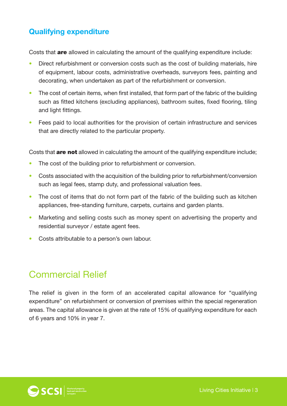#### **Qualifying expenditure**

Costs that **are** allowed in calculating the amount of the qualifying expenditure include:

- Direct refurbishment or conversion costs such as the cost of building materials, hire of equipment, labour costs, administrative overheads, surveyors fees, painting and decorating, when undertaken as part of the refurbishment or conversion.
- The cost of certain items, when first installed, that form part of the fabric of the building such as fitted kitchens (excluding appliances), bathroom suites, fixed flooring, tiling and light fittings.
- Fees paid to local authorities for the provision of certain infrastructure and services that are directly related to the particular property.

Costs that **are not** allowed in calculating the amount of the qualifying expenditure include;

- The cost of the building prior to refurbishment or conversion.
- Costs associated with the acquisition of the building prior to refurbishment/conversion such as legal fees, stamp duty, and professional valuation fees.
- The cost of items that do not form part of the fabric of the building such as kitchen appliances, free-standing furniture, carpets, curtains and garden plants.
- Marketing and selling costs such as money spent on advertising the property and residential surveyor / estate agent fees.
- Costs attributable to a person's own labour.

#### Commercial Relief

The relief is given in the form of an accelerated capital allowance for "qualifying expenditure" on refurbishment or conversion of premises within the special regeneration areas. The capital allowance is given at the rate of 15% of qualifying expenditure for each of 6 years and 10% in year 7.

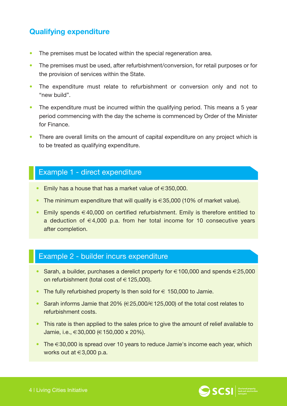#### **Qualifying expenditure**

- The premises must be located within the special regeneration area.
- The premises must be used, after refurbishment/conversion, for retail purposes or for the provision of services within the State.
- The expenditure must relate to refurbishment or conversion only and not to "new build".
- The expenditure must be incurred within the qualifying period. This means a 5 year period commencing with the day the scheme is commenced by Order of the Minister for Finance.
- There are overall limits on the amount of capital expenditure on any project which is to be treated as qualifying expenditure.

#### Example 1 - direct expenditure

- Emily has a house that has a market value of  $\in$  350,000.
- The minimum expenditure that will qualify is  $\in$  35,000 (10% of market value).
- Emily spends €40,000 on certified refurbishment. Emily is therefore entitled to a deduction of  $\in$  4,000 p.a. from her total income for 10 consecutive years after completion.

#### Example 2 - builder incurs expenditure

- Sarah, a builder, purchases a derelict property for  $\in$  100,000 and spends  $\in$  25,000 on refurbishment (total cost of  $\in$  125,000).
- The fully refurbished property Is then sold for  $\epsilon$  150,000 to Jamie.
- Sarah informs Jamie that 20% (€25,000/€125,000) of the total cost relates to refurbishment costs.
- This rate is then applied to the sales price to give the amount of relief available to Jamie, i.e.,  $\in$  30,000 ( $\in$  150,000 x 20%).
- The  $\in$  30,000 is spread over 10 years to reduce Jamie's income each year, which works out at €3,000 p.a.

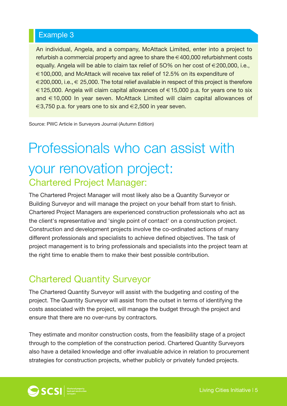#### Example 3

An individual, Angela, and a company, McAttack Limited, enter into a project to refurbish a commercial property and agree to share the  $\in$  400,000 refurbishment costs equally. Angela will be able to claim tax relief of 5O% on her cost of €200,000, i.e., €100,000, and McAttack will receive tax relief of 12.5% on its expenditure of  $\in$  200,000, i.e.,  $\in$  25,000. The total relief available in respect of this project is therefore €125,000. Angela will claim capital allowances of €15,000 p.a. for years one to six and €10,000 In year seven. McAttack Limited will claim capital allowances of  $\epsilon$ 3,750 p.a. for years one to six and  $\epsilon$ 2,500 in year seven.

Source: PWC Article in Surveyors Journal (Autumn Edition)

### Professionals who can assist with your renovation project: Chartered Project Manager:

The Chartered Project Manager will most likely also be a Quantity Surveyor or Building Surveyor and will manage the project on your behalf from start to finish. Chartered Project Managers are experienced construction professionals who act as the client's representative and 'single point of contact' on a construction project. Construction and development projects involve the co-ordinated actions of many different professionals and specialists to achieve defined objectives. The task of project management is to bring professionals and specialists into the project team at the right time to enable them to make their best possible contribution.

#### Chartered Quantity Surveyor

The Chartered Quantity Surveyor will assist with the budgeting and costing of the project. The Quantity Surveyor will assist from the outset in terms of identifying the costs associated with the project, will manage the budget through the project and ensure that there are no over-runs by contractors.

They estimate and monitor construction costs, from the feasibility stage of a project through to the completion of the construction period. Chartered Quantity Surveyors also have a detailed knowledge and offer invaluable advice in relation to procurement strategies for construction projects, whether publicly or privately funded projects.

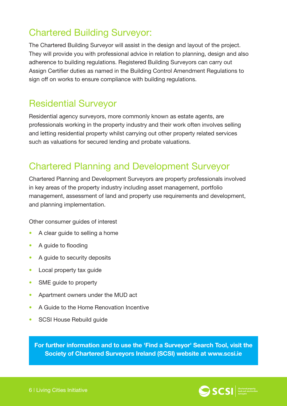#### Chartered Building Surveyor:

The Chartered Building Surveyor will assist in the design and layout of the project. They will provide you with professional advice in relation to planning, design and also adherence to building regulations. Registered Building Surveyors can carry out Assign Certifier duties as named in the Building Control Amendment Regulations to sign off on works to ensure compliance with building regulations.

#### Residential Surveyor

Residential agency surveyors, more commonly known as estate agents, are professionals working in the property industry and their work often involves selling and letting residential property whilst carrying out other property related services such as valuations for secured lending and probate valuations.

#### Chartered Planning and Development Surveyor

Chartered Planning and Development Surveyors are property professionals involved in key areas of the property industry including asset management, portfolio management, assessment of land and property use requirements and development, and planning implementation.

Other consumer guides of interest

- A clear guide to selling a home
- A guide to flooding
- A quide to security deposits
- Local property tax guide
- SME guide to property
- Apartment owners under the MUD act
- A Guide to the Home Renovation Incentive
- SCSI House Rebuild guide

**For further information and to use the 'Find a Surveyor' Search Tool, visit the Society of Chartered Surveyors Ireland (SCSI) website at www.scsi.ie**